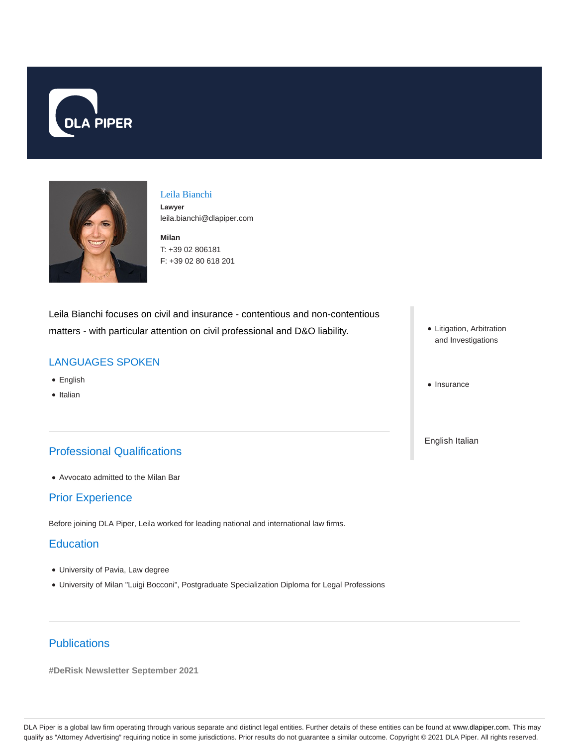



## Leila Bianchi **Lawyer**

leila.bianchi@dlapiper.com

**Milan** T: +39 02 806181 F: +39 02 80 618 201

Leila Bianchi focuses on civil and insurance - contentious and non-contentious matters - with particular attention on civil professional and D&O liability.

## LANGUAGES SPOKEN

- English
- Italian

# Professional Qualifications

Avvocato admitted to the Milan Bar

#### Prior Experience

Before joining DLA Piper, Leila worked for leading national and international law firms.

#### **Education**

- University of Pavia, Law degree
- University of Milan "Luigi Bocconi", Postgraduate Specialization Diploma for Legal Professions
- Litigation, Arbitration and Investigations
- Insurance

English Italian

# **Publications**

**#DeRisk Newsletter September 2021**

DLA Piper is a global law firm operating through various separate and distinct legal entities. Further details of these entities can be found at www.dlapiper.com. This may qualify as "Attorney Advertising" requiring notice in some jurisdictions. Prior results do not guarantee a similar outcome. Copyright © 2021 DLA Piper. All rights reserved.